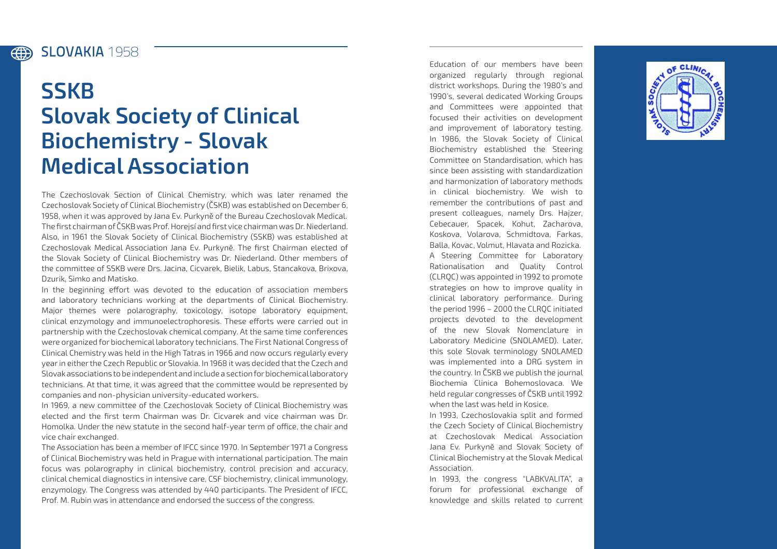## Slovakia **1958** (#)

## **SSKB Slovak Society of Clinical Biochemistry - Slovak Medical Association**

The Czechoslovak Section of Clinical Chemistry, which was later renamed the Czechoslovak Society of Clinical Biochemistry (ČSKB) was established on December 6, 1958, when it was approved by Jana Ev. Purkyně of the Bureau Czechoslovak Medical. The first chairman of ČSKB was Prof. Horejsí and first vice chairman was Dr. Niederland. Also, in 1961 the Slovak Society of Clinical Biochemistry (SSKB) was established at Czechoslovak Medical Association Jana Ev. Purkyně. The first Chairman elected of the Slovak Society of Clinical Biochemistry was Dr. Niederland. Other members of the committee of SSKB were Drs. Jacina, Cicvarek, Bielik, Labus, Stancakova, Brixova, Dzurik, Simko and Matisko.

In the beginning effort was devoted to the education of association members and laboratory technicians working at the departments of Clinical Biochemistry. Major themes were polarography, toxicology, isotope laboratory equipment, clinical enzymology and immunoelectrophoresis. These efforts were carried out in partnership with the Czechoslovak chemical company. At the same time conferences were organized for biochemical laboratory technicians. The First National Congress of Clinical Chemistry was held in the High Tatras in 1966 and now occurs regularly every year in either the Czech Republic or Slovakia. In 1968 it was decided that the Czech and Slovak associations to be independent and include a section for biochemical laboratory technicians. At that time, it was agreed that the committee would be represented by companies and non-physician university-educated workers.

In 1969, a new committee of the Czechoslovak Society of Clinical Biochemistry was elected and the first term Chairman was Dr. Cicvarek and vice chairman was Dr. Homolka. Under the new statute in the second half-year term of office, the chair and vice chair exchanged.

The Association has been a member of IFCC since 1970. In September 1971 a Congress of Clinical Biochemistry was held in Prague with international participation. The main focus was polarography in clinical biochemistry, control precision and accuracy, clinical chemical diagnostics in intensive care, CSF biochemistry, clinical immunology, enzymology. The Congress was attended by 440 participants. The President of IFCC, Prof. M. Rubin was in attendance and endorsed the success of the congress.

Education of our members have been organized regularly through regional district workshops. During the 1980's and 1990's, several dedicated Working Groups and Committees were appointed that focused their activities on development and improvement of laboratory testing. In 1986, the Slovak Society of Clinical Biochemistry established the Steering Committee on Standardisation, which has since been assisting with standardization and harmonization of laboratory methods in clinical biochemistry. We wish to remember the contributions of past and present colleagues, namely Drs. Hajzer, Cebecauer, Spacek, Kohut, Zacharova, Koskova, Volarova, Schmidtova, Farkas, Balla, Kovac, Volmut, Hlavata and Rozicka. A Steering Committee for Laboratory Rationalisation and Quality Control (CLRQC) was appointed in 1992 to promote strategies on how to improve quality in clinical laboratory performance. During the period 1996 – 2000 the CLRQC initiated projects devoted to the development of the new Slovak Nomenclature in Laboratory Medicine (SNOLAMED). Later, this sole Slovak terminology SNOLAMED was implemented into a DRG system in the country. In ČSKB we publish the journal Biochemia Clinica Bohemoslovaca. We held regular congresses of ČSKB until 1992 when the last was held in Kosice.

In 1993, Czechoslovakia split and formed the Czech Society of Clinical Biochemistry at Czechoslovak Medical Association Jana Ev. Purkyně and Slovak Society of Clinical Biochemistry at the Slovak Medical Association.

In 1993, the congress "LABKVALITA", a forum for professional exchange of knowledge and skills related to current